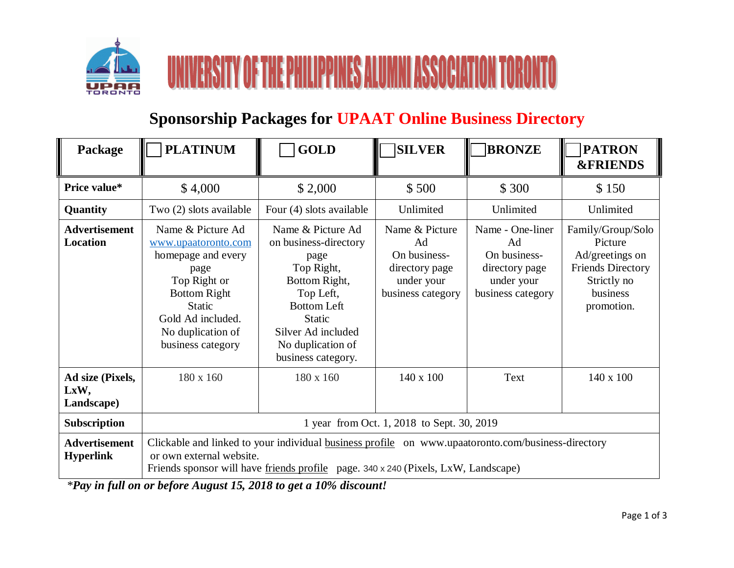



## **Sponsorship Packages for UPAAT Online Business Directory**

| Package                                  | <b>PLATINUM</b>                                                                                                                                                                                                      | <b>GOLD</b>                                                                                                                                                                                            | <b>SILVER</b>                                                                             | <b>BRONZE</b>                                                                               | <b>PATRON</b><br><b>&amp;FRIENDS</b>                                                                                 |
|------------------------------------------|----------------------------------------------------------------------------------------------------------------------------------------------------------------------------------------------------------------------|--------------------------------------------------------------------------------------------------------------------------------------------------------------------------------------------------------|-------------------------------------------------------------------------------------------|---------------------------------------------------------------------------------------------|----------------------------------------------------------------------------------------------------------------------|
| Price value*                             | \$4,000                                                                                                                                                                                                              | \$2,000                                                                                                                                                                                                | \$500                                                                                     | \$300                                                                                       | \$150                                                                                                                |
| Quantity                                 | Two (2) slots available                                                                                                                                                                                              | Four (4) slots available                                                                                                                                                                               | Unlimited                                                                                 | Unlimited                                                                                   | Unlimited                                                                                                            |
| <b>Advertisement</b><br><b>Location</b>  | Name & Picture Ad<br>www.upaatoronto.com<br>homepage and every<br>page<br>Top Right or<br><b>Bottom Right</b><br><b>Static</b><br>Gold Ad included.<br>No duplication of<br>business category                        | Name & Picture Ad<br>on business-directory<br>page<br>Top Right,<br>Bottom Right,<br>Top Left,<br><b>Bottom Left</b><br><b>Static</b><br>Silver Ad included<br>No duplication of<br>business category. | Name & Picture<br>Ad<br>On business-<br>directory page<br>under your<br>business category | Name - One-liner<br>Ad<br>On business-<br>directory page<br>under your<br>business category | Family/Group/Solo<br>Picture<br>Ad/greetings on<br><b>Friends Directory</b><br>Strictly no<br>business<br>promotion. |
| Ad size (Pixels,<br>LxW,<br>Landscape)   | 180 x 160                                                                                                                                                                                                            | 180 x 160                                                                                                                                                                                              | $140 \times 100$                                                                          | Text                                                                                        | 140 x 100                                                                                                            |
| <b>Subscription</b>                      | 1 year from Oct. 1, 2018 to Sept. 30, 2019                                                                                                                                                                           |                                                                                                                                                                                                        |                                                                                           |                                                                                             |                                                                                                                      |
| <b>Advertisement</b><br><b>Hyperlink</b> | Clickable and linked to your individual business profile on www.upaatoronto.com/business-directory<br>or own external website.<br>Friends sponsor will have friends profile page. 340 x 240 (Pixels, LxW, Landscape) |                                                                                                                                                                                                        |                                                                                           |                                                                                             |                                                                                                                      |

*\*Pay in full on or before August 15, 2018 to get a 10% discount!*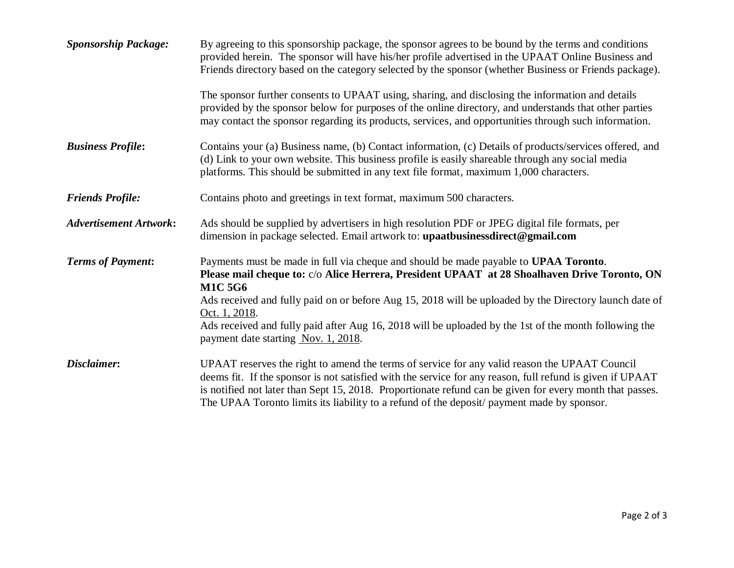| <b>Sponsorship Package:</b>   | By agreeing to this sponsorship package, the sponsor agrees to be bound by the terms and conditions<br>provided herein. The sponsor will have his/her profile advertised in the UPAAT Online Business and<br>Friends directory based on the category selected by the sponsor (whether Business or Friends package).<br>The sponsor further consents to UPAAT using, sharing, and disclosing the information and details<br>provided by the sponsor below for purposes of the online directory, and understands that other parties<br>may contact the sponsor regarding its products, services, and opportunities through such information. |
|-------------------------------|--------------------------------------------------------------------------------------------------------------------------------------------------------------------------------------------------------------------------------------------------------------------------------------------------------------------------------------------------------------------------------------------------------------------------------------------------------------------------------------------------------------------------------------------------------------------------------------------------------------------------------------------|
| <b>Business Profile:</b>      | Contains your (a) Business name, (b) Contact information, (c) Details of products/services offered, and<br>(d) Link to your own website. This business profile is easily shareable through any social media<br>platforms. This should be submitted in any text file format, maximum 1,000 characters.                                                                                                                                                                                                                                                                                                                                      |
| <b>Friends Profile:</b>       | Contains photo and greetings in text format, maximum 500 characters.                                                                                                                                                                                                                                                                                                                                                                                                                                                                                                                                                                       |
| <b>Advertisement Artwork:</b> | Ads should be supplied by advertisers in high resolution PDF or JPEG digital file formats, per<br>dimension in package selected. Email artwork to: upaatbusinessdirect@gmail.com                                                                                                                                                                                                                                                                                                                                                                                                                                                           |
| <b>Terms of Payment:</b>      | Payments must be made in full via cheque and should be made payable to UPAA Toronto.<br>Please mail cheque to: c/o Alice Herrera, President UPAAT at 28 Shoalhaven Drive Toronto, ON<br><b>M1C 5G6</b><br>Ads received and fully paid on or before Aug 15, 2018 will be uploaded by the Directory launch date of<br>Oct. 1, 2018.<br>Ads received and fully paid after Aug 16, 2018 will be uploaded by the 1st of the month following the<br>payment date starting Nov. 1, 2018.                                                                                                                                                          |
| Disclaimer:                   | UPAAT reserves the right to amend the terms of service for any valid reason the UPAAT Council<br>deems fit. If the sponsor is not satisfied with the service for any reason, full refund is given if UPAAT<br>is notified not later than Sept 15, 2018. Proportionate refund can be given for every month that passes.<br>The UPAA Toronto limits its liability to a refund of the deposit/ payment made by sponsor.                                                                                                                                                                                                                       |